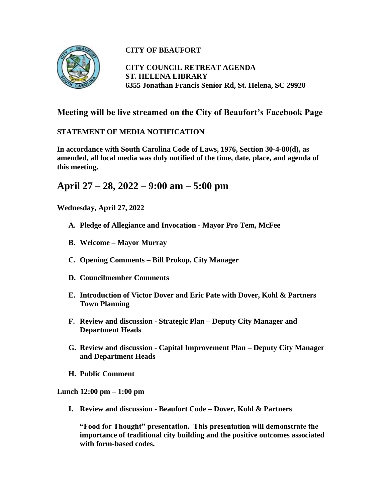

## **CITY OF BEAUFORT**

**CITY COUNCIL RETREAT AGENDA ST. HELENA LIBRARY 6355 Jonathan Francis Senior Rd, St. Helena, SC 29920**

## **Meeting will be live streamed on the City of Beaufort's Facebook Page**

## **STATEMENT OF MEDIA NOTIFICATION**

**In accordance with South Carolina Code of Laws, 1976, Section 30-4-80(d), as amended, all local media was duly notified of the time, date, place, and agenda of this meeting.** 

## **April 27 – 28, 2022 – 9:00 am – 5:00 pm**

**Wednesday, April 27, 2022**

- **A. Pledge of Allegiance and Invocation - Mayor Pro Tem, McFee**
- **B. Welcome – Mayor Murray**
- **C. Opening Comments – Bill Prokop, City Manager**
- **D. Councilmember Comments**
- **E. Introduction of Victor Dover and Eric Pate with Dover, Kohl & Partners Town Planning**
- **F. Review and discussion - Strategic Plan – Deputy City Manager and Department Heads**
- **G. Review and discussion - Capital Improvement Plan – Deputy City Manager and Department Heads**
- **H. Public Comment**

**Lunch 12:00 pm – 1:00 pm**

**I. Review and discussion - Beaufort Code – Dover, Kohl & Partners**

**"Food for Thought" presentation. This presentation will demonstrate the importance of traditional city building and the positive outcomes associated with form-based codes.**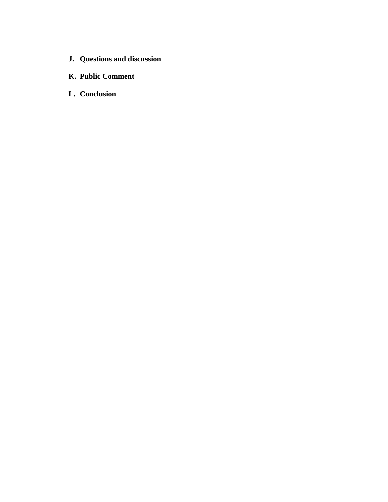- **J. Questions and discussion**
- **K. Public Comment**
- **L. Conclusion**